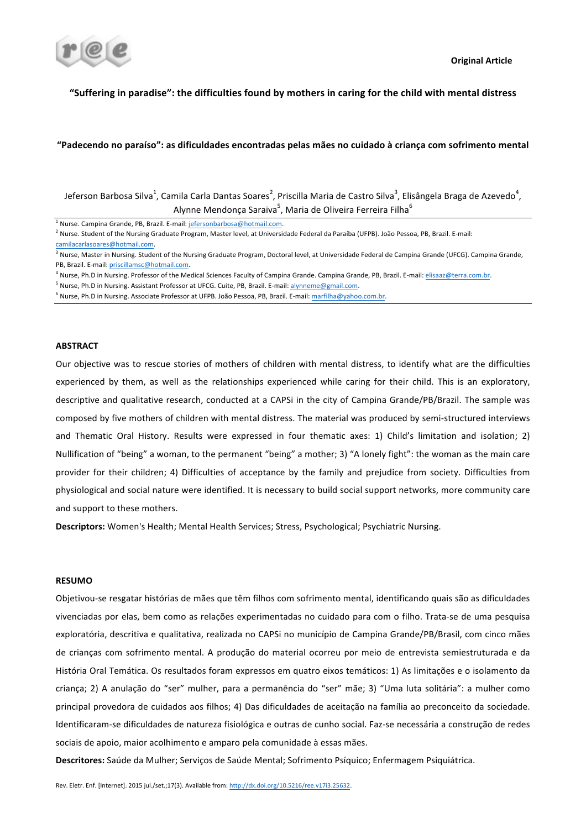

## "Suffering in paradise": the difficulties found by mothers in caring for the child with mental distress

## "Padecendo no paraíso": as dificuldades encontradas pelas mães no cuidado à criança com sofrimento mental

Jeferson Barbosa Silva $^1$ , Camila Carla Dantas Soares $^2$ , Priscilla Maria de Castro Silva $^3$ , Elisângela Braga de Azevedo $^4$ , Alynne Mendonça Saraiva<sup>5</sup>, Maria de Oliveira Ferreira Filha<sup>6</sup>

<sup>1</sup> Nurse. Campina Grande, PB, Brazil. E-mail: jefersonbarbosa@hotmail.com.

<sup>2</sup> Nurse. Student of the Nursing Graduate Program, Master level, at Universidade Federal da Paraíba (UFPB). João Pessoa, PB, Brazil. E-mail:

<sup>4</sup> Nurse, Ph.D in Nursing. Professor of the Medical Sciences Faculty of Campina Grande. Campina Grande, PB, Brazil. E-mail: elisaaz@terra.com.br.

- <sup>5</sup> Nurse, Ph.D in Nursing. Assistant Professor at UFCG. Cuite, PB, Brazil. E-mail: **alynneme@gmail.com**
- $6$  Nurse, Ph.D in Nursing. Associate Professor at UFPB. João Pessoa, PB, Brazil. E-mail: marfilha@yahoo.com.br.

### **ABSTRACT**

Our objective was to rescue stories of mothers of children with mental distress, to identify what are the difficulties experienced by them, as well as the relationships experienced while caring for their child. This is an exploratory, descriptive and qualitative research, conducted at a CAPSi in the city of Campina Grande/PB/Brazil. The sample was composed by five mothers of children with mental distress. The material was produced by semi-structured interviews and Thematic Oral History. Results were expressed in four thematic axes: 1) Child's limitation and isolation; 2) Nullification of "being" a woman, to the permanent "being" a mother; 3) "A lonely fight": the woman as the main care provider for their children; 4) Difficulties of acceptance by the family and prejudice from society. Difficulties from physiological and social nature were identified. It is necessary to build social support networks, more community care and support to these mothers.

Descriptors: Women's Health; Mental Health Services; Stress, Psychological; Psychiatric Nursing.

## **RESUMO**

Objetivou-se resgatar histórias de mães que têm filhos com sofrimento mental, identificando quais são as dificuldades vivenciadas por elas, bem como as relações experimentadas no cuidado para com o filho. Trata-se de uma pesquisa exploratória, descritiva e qualitativa, realizada no CAPSi no município de Campina Grande/PB/Brasil, com cinco mães de crianças com sofrimento mental. A produção do material ocorreu por meio de entrevista semiestruturada e da História Oral Temática. Os resultados foram expressos em quatro eixos temáticos: 1) As limitações e o isolamento da criança; 2) A anulação do "ser" mulher, para a permanência do "ser" mãe; 3) "Uma luta solitária": a mulher como principal provedora de cuidados aos filhos; 4) Das dificuldades de aceitação na família ao preconceito da sociedade. Identificaram-se dificuldades de natureza fisiológica e outras de cunho social. Faz-se necessária a construção de redes sociais de apoio, maior acolhimento e amparo pela comunidade à essas mães.

Descritores: Saúde da Mulher; Serviços de Saúde Mental; Sofrimento Psíquico; Enfermagem Psiquiátrica.

camilacarlasoares@hotmail.com.

<sup>&</sup>lt;sup>3</sup> Nurse, Master in Nursing. Student of the Nursing Graduate Program, Doctoral level, at Universidade Federal de Campina Grande (UFCG). Campina Grande, PB, Brazil. E-mail: priscillamsc@hotmail.com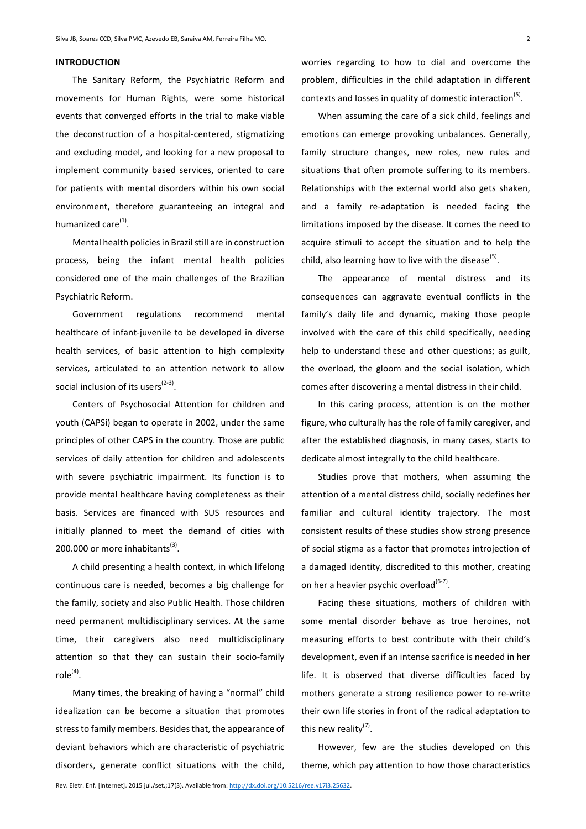## **INTRODUCTION**

The Sanitary Reform, the Psychiatric Reform and movements for Human Rights, were some historical events that converged efforts in the trial to make viable the deconstruction of a hospital-centered, stigmatizing and excluding model, and looking for a new proposal to implement community based services, oriented to care for patients with mental disorders within his own social environment, therefore guaranteeing an integral and humanized  $\text{care}^{(1)}$ .

Mental health policies in Brazil still are in construction process, being the infant mental health policies considered one of the main challenges of the Brazilian Psychiatric Reform.

Government regulations recommend mental healthcare of infant-juvenile to be developed in diverse health services, of basic attention to high complexity services, articulated to an attention network to allow social inclusion of its users $(2-3)$ .

Centers of Psychosocial Attention for children and youth (CAPSi) began to operate in 2002, under the same principles of other CAPS in the country. Those are public services of daily attention for children and adolescents with severe psychiatric impairment. Its function is to provide mental healthcare having completeness as their basis. Services are financed with SUS resources and initially planned to meet the demand of cities with 200.000 or more inhabitants $^{(3)}$ .

A child presenting a health context, in which lifelong continuous care is needed, becomes a big challenge for the family, society and also Public Health. Those children need permanent multidisciplinary services. At the same time, their caregivers also need multidisciplinary attention so that they can sustain their socio-family  $role<sup>(4)</sup>$ .

Many times, the breaking of having a "normal" child idealization can be become a situation that promotes stress to family members. Besides that, the appearance of deviant behaviors which are characteristic of psychiatric disorders, generate conflict situations with the child, worries regarding to how to dial and overcome the problem, difficulties in the child adaptation in different contexts and losses in quality of domestic interaction<sup>(5)</sup>.

When assuming the care of a sick child, feelings and emotions can emerge provoking unbalances. Generally, family structure changes, new roles, new rules and situations that often promote suffering to its members. Relationships with the external world also gets shaken, and a family re-adaptation is needed facing the limitations imposed by the disease. It comes the need to acquire stimuli to accept the situation and to help the child, also learning how to live with the disease<sup>(5)</sup>.

The appearance of mental distress and its consequences can aggravate eventual conflicts in the family's daily life and dynamic, making those people involved with the care of this child specifically, needing help to understand these and other questions; as guilt, the overload, the gloom and the social isolation, which comes after discovering a mental distress in their child.

In this caring process, attention is on the mother figure, who culturally has the role of family caregiver, and after the established diagnosis, in many cases, starts to dedicate almost integrally to the child healthcare.

Studies prove that mothers, when assuming the attention of a mental distress child, socially redefines her familiar and cultural identity trajectory. The most consistent results of these studies show strong presence of social stigma as a factor that promotes introjection of a damaged identity, discredited to this mother, creating on her a heavier psychic overload $^{(6-7)}$ .

Facing these situations, mothers of children with some mental disorder behave as true heroines, not measuring efforts to best contribute with their child's development, even if an intense sacrifice is needed in her life. It is observed that diverse difficulties faced by mothers generate a strong resilience power to re-write their own life stories in front of the radical adaptation to this new reality $^{(7)}$ .

However, few are the studies developed on this theme, which pay attention to how those characteristics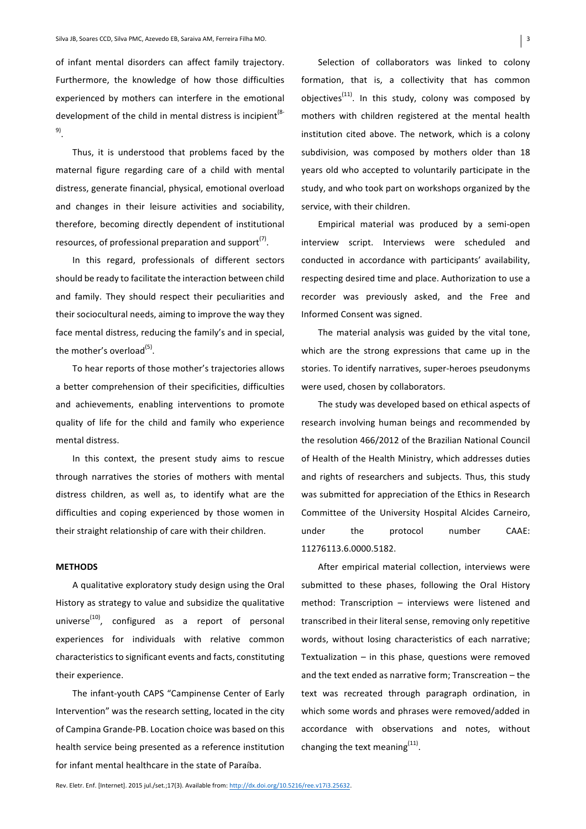of infant mental disorders can affect family trajectory. Furthermore, the knowledge of how those difficulties experienced by mothers can interfere in the emotional development of the child in mental distress is incipient<sup>(8-</sup> 9). 

Thus, it is understood that problems faced by the maternal figure regarding care of a child with mental distress, generate financial, physical, emotional overload and changes in their leisure activities and sociability, therefore, becoming directly dependent of institutional resources, of professional preparation and support $(7)$ .

In this regard, professionals of different sectors should be ready to facilitate the interaction between child and family. They should respect their peculiarities and their sociocultural needs, aiming to improve the way they face mental distress, reducing the family's and in special, the mother's overload<sup>(5)</sup>.

To hear reports of those mother's trajectories allows a better comprehension of their specificities, difficulties and achievements, enabling interventions to promote quality of life for the child and family who experience mental distress.

In this context, the present study aims to rescue through narratives the stories of mothers with mental distress children, as well as, to identify what are the difficulties and coping experienced by those women in their straight relationship of care with their children.

## **METHODS**

A qualitative exploratory study design using the Oral History as strategy to value and subsidize the qualitative universe $^{(10)}$ , configured as a report of personal experiences for individuals with relative common characteristics to significant events and facts, constituting their experience.

The infant-youth CAPS "Campinense Center of Early Intervention" was the research setting, located in the city of Campina Grande-PB. Location choice was based on this health service being presented as a reference institution for infant mental healthcare in the state of Paraíba.

Selection of collaborators was linked to colony formation, that is, a collectivity that has common objectives<sup>(11)</sup>. In this study, colony was composed by mothers with children registered at the mental health institution cited above. The network, which is a colony subdivision, was composed by mothers older than 18 years old who accepted to voluntarily participate in the study, and who took part on workshops organized by the service, with their children.

Empirical material was produced by a semi-open interview script. Interviews were scheduled and conducted in accordance with participants' availability, respecting desired time and place. Authorization to use a recorder was previously asked, and the Free and Informed Consent was signed.

The material analysis was guided by the vital tone, which are the strong expressions that came up in the stories. To identify narratives, super-heroes pseudonyms were used, chosen by collaborators.

The study was developed based on ethical aspects of research involving human beings and recommended by the resolution 466/2012 of the Brazilian National Council of Health of the Health Ministry, which addresses duties and rights of researchers and subjects. Thus, this study was submitted for appreciation of the Ethics in Research Committee of the University Hospital Alcides Carneiro, under the protocol number CAAE: 11276113.6.0000.5182.

After empirical material collection, interviews were submitted to these phases, following the Oral History method: Transcription  $-$  interviews were listened and transcribed in their literal sense, removing only repetitive words, without losing characteristics of each narrative; Textualization  $-$  in this phase, questions were removed and the text ended as narrative form; Transcreation  $-$  the text was recreated through paragraph ordination, in which some words and phrases were removed/added in accordance with observations and notes, without changing the text meaning $<sup>(11)</sup>$ .</sup>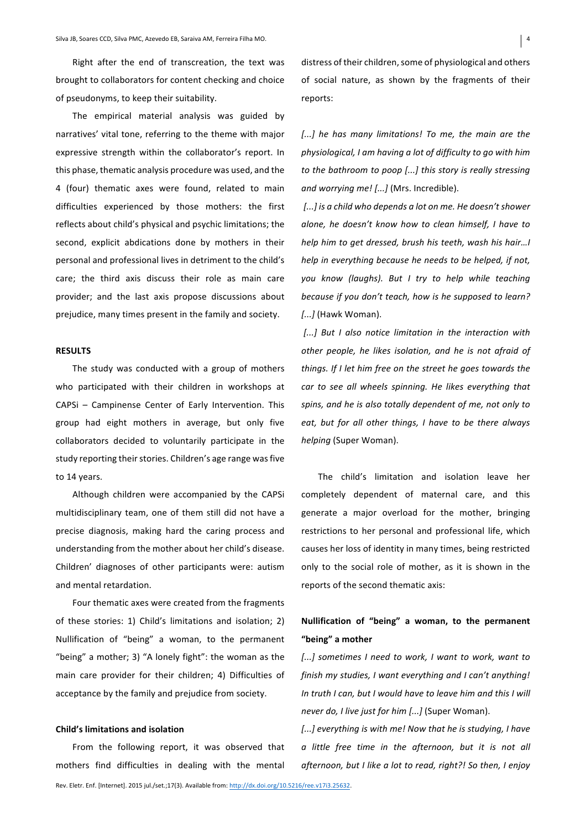Right after the end of transcreation, the text was brought to collaborators for content checking and choice of pseudonyms, to keep their suitability.

The empirical material analysis was guided by narratives' vital tone, referring to the theme with major expressive strength within the collaborator's report. In this phase, thematic analysis procedure was used, and the 4 (four) thematic axes were found, related to main difficulties experienced by those mothers: the first reflects about child's physical and psychic limitations; the second, explicit abdications done by mothers in their personal and professional lives in detriment to the child's care; the third axis discuss their role as main care provider; and the last axis propose discussions about prejudice, many times present in the family and society.

### **RESULTS**

The study was conducted with a group of mothers who participated with their children in workshops at CAPSi – Campinense Center of Early Intervention. This group had eight mothers in average, but only five collaborators decided to voluntarily participate in the study reporting their stories. Children's age range was five to 14 years.

Although children were accompanied by the CAPSi multidisciplinary team, one of them still did not have a precise diagnosis, making hard the caring process and understanding from the mother about her child's disease. Children' diagnoses of other participants were: autism and mental retardation.

Four thematic axes were created from the fragments of these stories: 1) Child's limitations and isolation; 2) Nullification of "being" a woman, to the permanent "being" a mother; 3) "A lonely fight": the woman as the main care provider for their children; 4) Difficulties of acceptance by the family and prejudice from society.

#### **Child's limitations and isolation**

From the following report, it was observed that mothers find difficulties in dealing with the mental distress of their children, some of physiological and others of social nature, as shown by the fragments of their reports: 

[...] he has many limitations! To me, the main are the physiological, I am having a lot of difficulty to go with him *to the bathroom to poop [...] this story is really stressing* and worrying me! [...] (Mrs. Incredible).

[...] is a child who depends a lot on me. He doesn't shower *alone, he doesn't know how to clean himself, I have to help him to get dressed, brush his teeth, wash his hair...! help* in everything because he needs to be helped, if not, you know (laughs). But I try to help while teaching *because if you don't teach, how is he supposed to learn? [...]* (Hawk Woman).

[...] But I also notice limitation in the interaction with other people, he likes isolation, and he is not afraid of *things.* If I let him free on the street he goes towards the *car* to see all wheels spinning. He likes everything that spins, and he is also totally dependent of me, not only to eat, but for all other things, I have to be there always *helping* (Super Woman). 

The child's limitation and isolation leave her completely dependent of maternal care, and this generate a major overload for the mother, bringing restrictions to her personal and professional life, which causes her loss of identity in many times, being restricted only to the social role of mother, as it is shown in the reports of the second thematic axis:

# **Nullification of "being" a woman, to the permanent "being" a mother**

[...] sometimes I need to work, I want to work, want to finish my studies, I want everything and I can't anything! In truth I can, but I would have to leave him and this I will *never do, I live just for him [...]* (Super Woman).

*[...]* everything is with me! Now that he is studying, I have *a little free time in the afternoon, but it is not all afternoon, but I like a lot to read, right?!* So then, I enjoy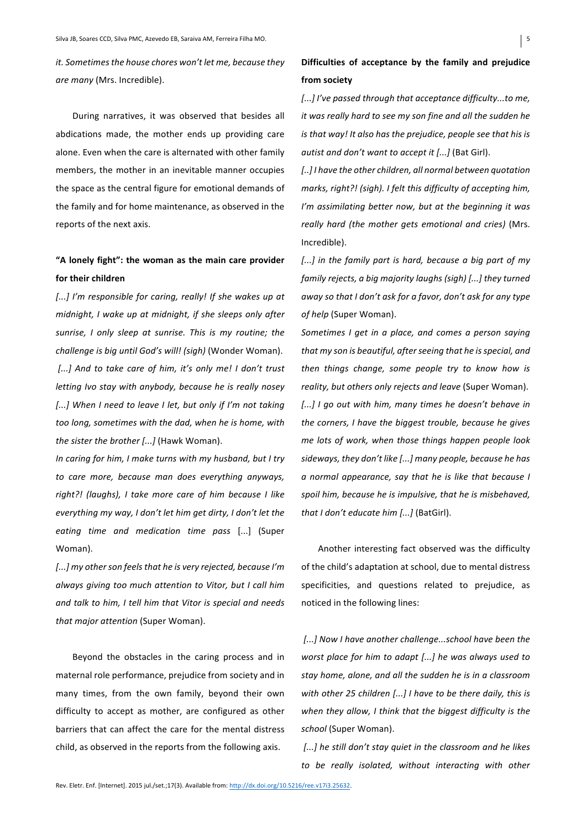*it.* Sometimes the house chores won't let me, because they are many (Mrs. Incredible).

During narratives, it was observed that besides all abdications made, the mother ends up providing care alone. Even when the care is alternated with other family members, the mother in an inevitable manner occupies the space as the central figure for emotional demands of the family and for home maintenance, as observed in the reports of the next axis.

# "A lonely fight": the woman as the main care provider for their children

[...] I'm responsible for caring, really! If she wakes up at *midnight, I* wake up at midnight, if she sleeps only after sunrise, I only sleep at sunrise. This is my routine; the *challenge is big until God's will!* (sigh) (Wonder Woman). [...] And to take care of him, it's only me! I don't trust *letting Ivo stay with anybody, because he is really nosey* [...] When I need to leave I let, but only if I'm not taking too long, sometimes with the dad, when he is home, with *the sister the brother [...]* (Hawk Woman).

*In caring for him, I make turns with my husband, but I try* to care more, because man does everything anyways, right?! (laughs), I take more care of him because I like *everything my way, I don't let him get dirty, I don't let the eating time and medication time pass*  [...] (Super Woman).

[...] my other son feels that he is very rejected, because I'm always giving too much attention to Vitor, but I call him and talk to him, I tell him that Vitor is special and needs *that major attention* (Super Woman). 

Beyond the obstacles in the caring process and in maternal role performance, prejudice from society and in many times, from the own family, beyond their own difficulty to accept as mother, are configured as other barriers that can affect the care for the mental distress child, as observed in the reports from the following axis.

# Difficulties of acceptance by the family and prejudice from society

*[...]* I've passed through that acceptance difficulty...to me, *it* was really hard to see my son fine and all the sudden he *is* that way! It also has the prejudice, people see that his is *autist and don't want to accept it [...]* (Bat Girl).

[..] I have the other children, all normal between quotation *marks, right?!* (sigh). I felt this difficulty of accepting him, *I'm assimilating better now, but at the beginning it was* really hard (the mother gets emotional and cries) (Mrs. Incredible). 

[...] in the family part is hard, because a big part of my *family rejects, a big majority laughs (sigh)* [...] they turned *away* so that I don't ask for a favor, don't ask for any type of help (Super Woman).

*Sometimes I get in a place, and comes a person saying* that my son is beautiful, after seeing that he is special, and *then things change, some people try to know how is reality, but others only rejects and leave* (Super Woman). [...] I go out with him, many times he doesn't behave in *the corners, I have the biggest trouble, because he gives me lots of work, when those things happen people look* sideways, they don't like [...] many people, because he has *a* normal appearance, say that he is like that because I spoil him, because he is impulsive, that he is misbehaved, *that I don't educate him [...]* (BatGirl).

Another interesting fact observed was the difficulty of the child's adaptation at school, due to mental distress specificities, and questions related to prejudice, as noticed in the following lines:

[...] Now I have another challenge...school have been the *worst place for him to adapt [...]* he was always used to stay home, alone, and all the sudden he is in a classroom with other 25 children [...] I have to be there daily, this is when they allow, I think that the biggest difficulty is the *school* (Super Woman). 

[...] he still don't stay quiet in the classroom and he likes to be really isolated, without interacting with other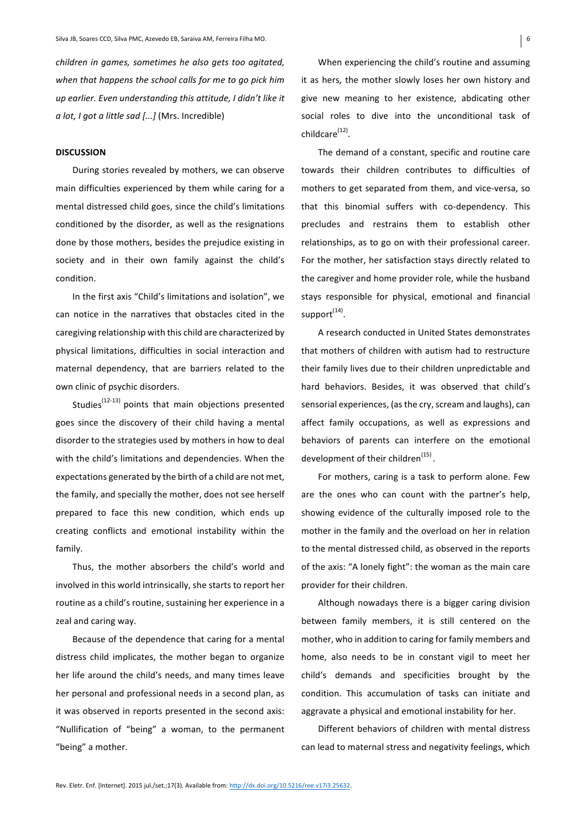*children in games, sometimes he also gets too gaitated.* when that happens the school calls for me to go pick him up earlier. Even understanding this attitude, I didn't like it *a* lot, *I* got *a* little sad [...] (Mrs. Incredible)

#### **DISCUSSION**

During stories revealed by mothers, we can observe main difficulties experienced by them while caring for a mental distressed child goes, since the child's limitations conditioned by the disorder, as well as the resignations done by those mothers, besides the prejudice existing in society and in their own family against the child's condition. 

In the first axis "Child's limitations and isolation", we can notice in the narratives that obstacles cited in the caregiving relationship with this child are characterized by physical limitations, difficulties in social interaction and maternal dependency, that are barriers related to the own clinic of psychic disorders.

Studies $(12-13)$  points that main objections presented goes since the discovery of their child having a mental disorder to the strategies used by mothers in how to deal with the child's limitations and dependencies. When the expectations generated by the birth of a child are not met, the family, and specially the mother, does not see herself prepared to face this new condition, which ends up creating conflicts and emotional instability within the family. 

Thus, the mother absorbers the child's world and involved in this world intrinsically, she starts to report her routine as a child's routine, sustaining her experience in a zeal and caring way.

Because of the dependence that caring for a mental distress child implicates, the mother began to organize her life around the child's needs, and many times leave her personal and professional needs in a second plan, as it was observed in reports presented in the second axis: "Nullification of "being" a woman, to the permanent "being" a mother.

When experiencing the child's routine and assuming it as hers, the mother slowly loses her own history and give new meaning to her existence, abdicating other social roles to dive into the unconditional task of childcare $(12)$ .

The demand of a constant, specific and routine care towards their children contributes to difficulties of mothers to get separated from them, and vice-versa, so that this binomial suffers with co-dependency. This precludes and restrains them to establish other relationships, as to go on with their professional career. For the mother, her satisfaction stays directly related to the caregiver and home provider role, while the husband stays responsible for physical, emotional and financial support<sup>(14)</sup>.

A research conducted in United States demonstrates that mothers of children with autism had to restructure their family lives due to their children unpredictable and hard behaviors. Besides, it was observed that child's sensorial experiences, (as the cry, scream and laughs), can affect family occupations, as well as expressions and behaviors of parents can interfere on the emotional development of their children<sup>(15)</sup>.

For mothers, caring is a task to perform alone. Few are the ones who can count with the partner's help, showing evidence of the culturally imposed role to the mother in the family and the overload on her in relation to the mental distressed child, as observed in the reports of the axis: "A lonely fight": the woman as the main care provider for their children.

Although nowadays there is a bigger caring division between family members, it is still centered on the mother, who in addition to caring for family members and home, also needs to be in constant vigil to meet her child's demands and specificities brought by the condition. This accumulation of tasks can initiate and aggravate a physical and emotional instability for her.

Different behaviors of children with mental distress can lead to maternal stress and negativity feelings, which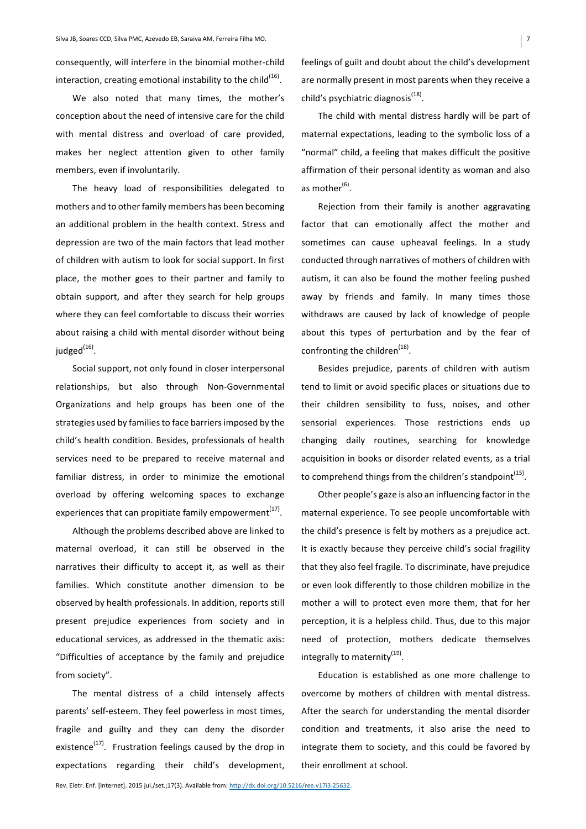consequently, will interfere in the binomial mother-child interaction, creating emotional instability to the child<sup>(16)</sup>.

We also noted that many times, the mother's conception about the need of intensive care for the child with mental distress and overload of care provided, makes her neglect attention given to other family members, even if involuntarily.

The heavy load of responsibilities delegated to mothers and to other family members has been becoming an additional problem in the health context. Stress and depression are two of the main factors that lead mother of children with autism to look for social support. In first place, the mother goes to their partner and family to obtain support, and after they search for help groups where they can feel comfortable to discuss their worries about raising a child with mental disorder without being judged $^{(16)}$ .

Social support, not only found in closer interpersonal relationships, but also through Non-Governmental Organizations and help groups has been one of the strategies used by families to face barriers imposed by the child's health condition. Besides, professionals of health services need to be prepared to receive maternal and familiar distress, in order to minimize the emotional overload by offering welcoming spaces to exchange experiences that can propitiate family empowerment<sup>(17)</sup>.

Although the problems described above are linked to maternal overload, it can still be observed in the narratives their difficulty to accept it, as well as their families. Which constitute another dimension to be observed by health professionals. In addition, reports still present prejudice experiences from society and in educational services, as addressed in the thematic axis: "Difficulties of acceptance by the family and prejudice from society".

The mental distress of a child intensely affects parents' self-esteem. They feel powerless in most times, fragile and guilty and they can deny the disorder existence<sup>(17)</sup>. Frustration feelings caused by the drop in expectations regarding their child's development, feelings of guilt and doubt about the child's development are normally present in most parents when they receive a child's psychiatric diagnosis $<sup>(18)</sup>$ .</sup>

The child with mental distress hardly will be part of maternal expectations, leading to the symbolic loss of a "normal" child, a feeling that makes difficult the positive affirmation of their personal identity as woman and also as mother<sup>(6)</sup>.

Rejection from their family is another aggravating factor that can emotionally affect the mother and sometimes can cause upheaval feelings. In a study conducted through narratives of mothers of children with autism, it can also be found the mother feeling pushed away by friends and family. In many times those withdraws are caused by lack of knowledge of people about this types of perturbation and by the fear of confronting the children<sup>(18)</sup>.

Besides prejudice, parents of children with autism tend to limit or avoid specific places or situations due to their children sensibility to fuss, noises, and other sensorial experiences. Those restrictions ends up changing daily routines, searching for knowledge acquisition in books or disorder related events, as a trial to comprehend things from the children's standpoint $^{(15)}$ .

Other people's gaze is also an influencing factor in the maternal experience. To see people uncomfortable with the child's presence is felt by mothers as a prejudice act. It is exactly because they perceive child's social fragility that they also feel fragile. To discriminate, have prejudice or even look differently to those children mobilize in the mother a will to protect even more them, that for her perception, it is a helpless child. Thus, due to this major need of protection, mothers dedicate themselves integrally to maternity<sup>(19)</sup>.

Education is established as one more challenge to overcome by mothers of children with mental distress. After the search for understanding the mental disorder condition and treatments, it also arise the need to integrate them to society, and this could be favored by their enrollment at school.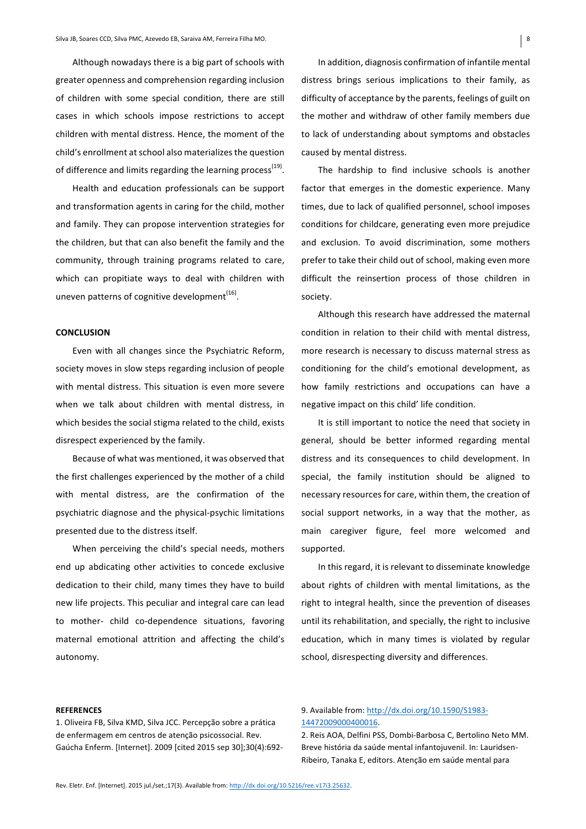Although nowadays there is a big part of schools with greater openness and comprehension regarding inclusion of children with some special condition, there are still cases in which schools impose restrictions to accept children with mental distress. Hence, the moment of the child's enrollment at school also materializes the question of difference and limits regarding the learning process<sup>(19)</sup>.

Health and education professionals can be support and transformation agents in caring for the child, mother and family. They can propose intervention strategies for the children, but that can also benefit the family and the community, through training programs related to care, which can propitiate ways to deal with children with uneven patterns of cognitive development<sup>(16)</sup>.

## **CONCLUSION**

Even with all changes since the Psychiatric Reform, society moves in slow steps regarding inclusion of people with mental distress. This situation is even more severe when we talk about children with mental distress, in which besides the social stigma related to the child, exists disrespect experienced by the family.

Because of what was mentioned, it was observed that the first challenges experienced by the mother of a child with mental distress, are the confirmation of the psychiatric diagnose and the physical-psychic limitations presented due to the distress itself.

When perceiving the child's special needs, mothers end up abdicating other activities to concede exclusive dedication to their child, many times they have to build new life projects. This peculiar and integral care can lead to mother- child co-dependence situations, favoring maternal emotional attrition and affecting the child's autonomy. 

In addition, diagnosis confirmation of infantile mental distress brings serious implications to their family, as difficulty of acceptance by the parents, feelings of guilt on the mother and withdraw of other family members due to lack of understanding about symptoms and obstacles caused by mental distress.

The hardship to find inclusive schools is another factor that emerges in the domestic experience. Many times, due to lack of qualified personnel, school imposes conditions for childcare, generating even more prejudice and exclusion. To avoid discrimination, some mothers prefer to take their child out of school, making even more difficult the reinsertion process of those children in society. 

Although this research have addressed the maternal condition in relation to their child with mental distress, more research is necessary to discuss maternal stress as conditioning for the child's emotional development, as how family restrictions and occupations can have a negative impact on this child' life condition.

It is still important to notice the need that society in general, should be better informed regarding mental distress and its consequences to child development. In special, the family institution should be aligned to necessary resources for care, within them, the creation of social support networks, in a way that the mother, as main caregiver figure, feel more welcomed and supported. 

In this regard, it is relevant to disseminate knowledge about rights of children with mental limitations, as the right to integral health, since the prevention of diseases until its rehabilitation, and specially, the right to inclusive education, which in many times is violated by regular school, disrespecting diversity and differences.

#### **REFERENCES**

1. Oliveira FB, Silva KMD, Silva JCC. Percepção sobre a prática de enfermagem em centros de atenção psicossocial. Rev. Gaúcha Enferm. [Internet]. 2009 [cited 2015 sep 30];30(4):692-

## 9. Available from: http://dx.doi.org/10.1590/S1983-14472009000400016.

2. Reis AOA, Delfini PSS, Dombi-Barbosa C, Bertolino Neto MM. Breve história da saúde mental infantojuvenil. In: Lauridsen-Ribeiro, Tanaka E, editors. Atenção em saúde mental para